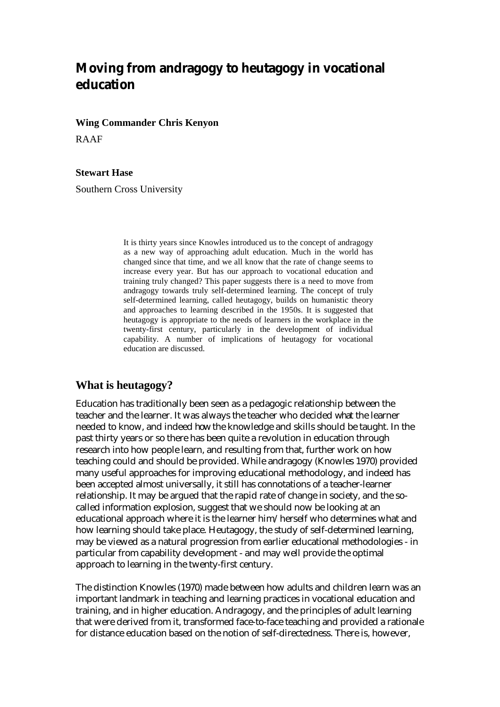# **Moving from andragogy to heutagogy in vocational education**

**Wing Commander Chris Kenyon** 

RAAF

#### **Stewart Hase**

Southern Cross University

It is thirty years since Knowles introduced us to the concept of andragogy as a new way of approaching adult education. Much in the world has changed since that time, and we all know that the rate of change seems to increase every year. But has our approach to vocational education and training truly changed? This paper suggests there is a need to move from andragogy towards truly self-determined learning. The concept of truly self-determined learning, called heutagogy, builds on humanistic theory and approaches to learning described in the 1950s. It is suggested that heutagogy is appropriate to the needs of learners in the workplace in the twenty-first century, particularly in the development of individual capability. A number of implications of heutagogy for vocational education are discussed.

#### **What is heutagogy?**

Education has traditionally been seen as a pedagogic relationship between the teacher and the learner. It was always the teacher who decided *what* the learner needed to know, and indeed *how* the knowledge and skills should be taught. In the past thirty years or so there has been quite a revolution in education through research into how people learn, and resulting from that, further work on how teaching could and should be provided. While andragogy (Knowles 1970) provided many useful approaches for improving educational methodology, and indeed has been accepted almost universally, it still has connotations of a teacher-learner relationship. It may be argued that the rapid rate of change in society, and the socalled information explosion, suggest that we should now be looking at an educational approach where it is the learner him/herself who determines what and how learning should take place. Heutagogy, the study of self-determined learning, may be viewed as a natural progression from earlier educational methodologies - in particular from capability development - and may well provide the optimal approach to learning in the twenty-first century.

The distinction Knowles (1970) made between how adults and children learn was an important landmark in teaching and learning practices in vocational education and training, and in higher education. Andragogy, and the principles of adult learning that were derived from it, transformed face-to-face teaching and provided a rationale for distance education based on the notion of self-directedness. There is, however,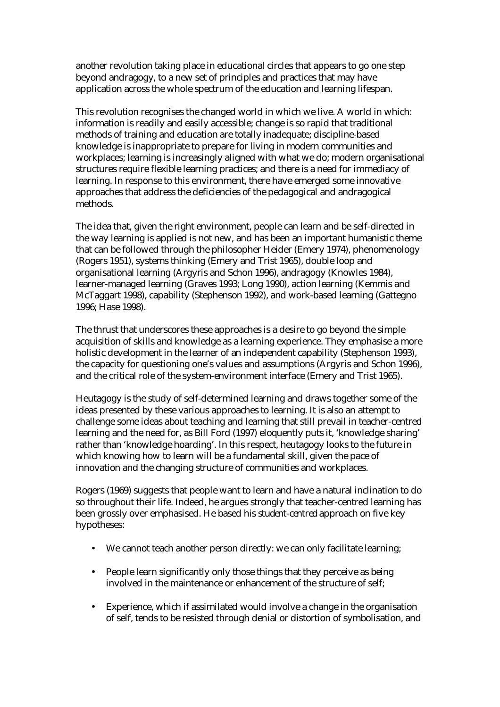another revolution taking place in educational circles that appears to go one step beyond andragogy, to a new set of principles and practices that may have application across the whole spectrum of the education and learning lifespan.

This revolution recognises the changed world in which we live. A world in which: information is readily and easily accessible; change is so rapid that traditional methods of training and education are totally inadequate; discipline-based knowledge is inappropriate to prepare for living in modern communities and workplaces; learning is increasingly aligned with what we do; modern organisational structures require flexible learning practices; and there is a need for immediacy of learning. In response to this environment, there have emerged some innovative approaches that address the deficiencies of the pedagogical and andragogical methods.

The idea that, given the right environment, people can learn and be self-directed in the way learning is applied is not new, and has been an important humanistic theme that can be followed through the philosopher Heider (Emery 1974), phenomenology (Rogers 1951), systems thinking (Emery and Trist 1965), double loop and organisational learning (Argyris and Schon 1996), andragogy (Knowles 1984), learner-managed learning (Graves 1993; Long 1990), action learning (Kemmis and McTaggart 1998), capability (Stephenson 1992), and work-based learning (Gattegno 1996; Hase 1998).

The thrust that underscores these approaches is a desire to go beyond the simple acquisition of skills and knowledge as a learning experience. They emphasise a more holistic development in the learner of an independent capability (Stephenson 1993), the capacity for questioning one's values and assumptions (Argyris and Schon 1996), and the critical role of the system-environment interface (Emery and Trist 1965).

Heutagogy is the study of self-determined learning and draws together some of the ideas presented by these various approaches to learning. It is also an attempt to challenge some ideas about teaching and learning that still prevail in teacher-centred learning and the need for, as Bill Ford (1997) eloquently puts it, 'knowledge sharing' rather than 'knowledge hoarding'. In this respect, heutagogy looks to the future in which knowing how to learn will be a fundamental skill, given the pace of innovation and the changing structure of communities and workplaces.

Rogers (1969) suggests that people want to learn and have a natural inclination to do so throughout their life. Indeed, he argues strongly that teacher-centred learning has been grossly over emphasised. He based his *student-centred* approach on five key hypotheses:

- We cannot teach another person directly: we can only facilitate learning;
- People learn significantly only those things that they perceive as being involved in the maintenance or enhancement of the structure of self;
- Experience, which if assimilated would involve a change in the organisation of self, tends to be resisted through denial or distortion of symbolisation, and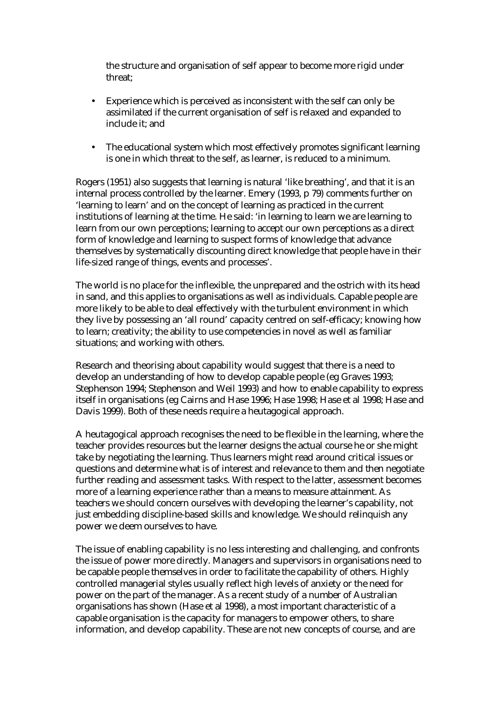the structure and organisation of self appear to become more rigid under threat;

- Experience which is perceived as inconsistent with the self can only be assimilated if the current organisation of self is relaxed and expanded to include it; and
- The educational system which most effectively promotes significant learning is one in which threat to the self, as learner, is reduced to a minimum.

Rogers (1951) also suggests that learning is natural 'like breathing', and that it is an internal process controlled by the learner. Emery (1993, p 79) comments further on 'learning to learn' and on the concept of learning as practiced in the current institutions of learning at the time. He said: 'in learning to learn we are learning to learn from our own perceptions; learning to accept our own perceptions as a direct form of knowledge and learning to suspect forms of knowledge that advance themselves by systematically discounting direct knowledge that people have in their life-sized range of things, events and processes'.

The world is no place for the inflexible, the unprepared and the ostrich with its head in sand, and this applies to organisations as well as individuals. Capable people are more likely to be able to deal effectively with the turbulent environment in which they live by possessing an 'all round' capacity centred on self-efficacy; knowing how to learn; creativity; the ability to use competencies in novel as well as familiar situations; and working with others.

Research and theorising about capability would suggest that there is a need to develop an understanding of how to develop capable people (eg Graves 1993; Stephenson 1994; Stephenson and Weil 1993) and how to enable capability to express itself in organisations (eg Cairns and Hase 1996; Hase 1998; Hase et al 1998; Hase and Davis 1999). Both of these needs require a heutagogical approach.

A heutagogical approach recognises the need to be flexible in the learning, where the teacher provides resources but the learner designs the actual course he or she might take by negotiating the learning. Thus learners might read around critical issues or questions and determine what is of interest and relevance to them and then negotiate further reading and assessment tasks. With respect to the latter, assessment becomes more of a learning experience rather than a means to measure attainment. As teachers we should concern ourselves with developing the learner's capability, not just embedding discipline-based skills and knowledge. We should relinquish any power we deem ourselves to have.

The issue of enabling capability is no less interesting and challenging, and confronts the issue of power more directly. Managers and supervisors in organisations need to be capable people themselves in order to facilitate the capability of others. Highly controlled managerial styles usually reflect high levels of anxiety or the need for power on the part of the manager. As a recent study of a number of Australian organisations has shown (Hase et al 1998), a most important characteristic of a capable organisation is the capacity for managers to empower others, to share information, and develop capability. These are not new concepts of course, and are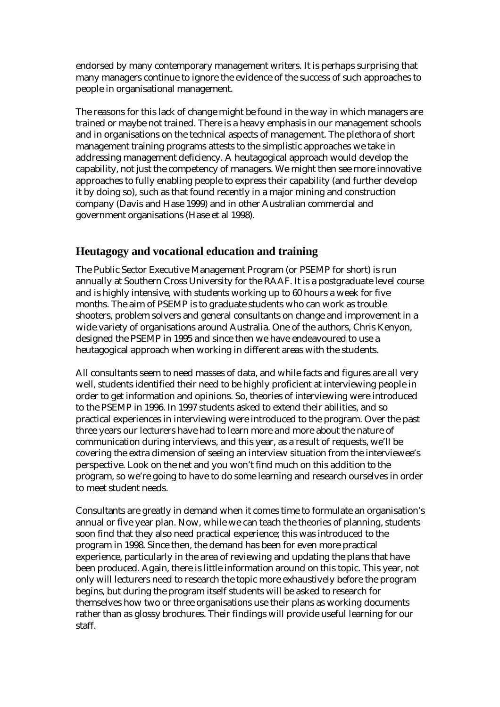endorsed by many contemporary management writers. It is perhaps surprising that many managers continue to ignore the evidence of the success of such approaches to people in organisational management.

The reasons for this lack of change might be found in the way in which managers are trained or maybe not trained. There is a heavy emphasis in our management schools and in organisations on the technical aspects of management. The plethora of short management training programs attests to the simplistic approaches we take in addressing management deficiency. A heutagogical approach would develop the capability, not just the competency of managers. We might then see more innovative approaches to fully enabling people to express their capability (and further develop it by doing so), such as that found recently in a major mining and construction company (Davis and Hase 1999) and in other Australian commercial and government organisations (Hase et al 1998).

## **Heutagogy and vocational education and training**

The Public Sector Executive Management Program (or PSEMP for short) is run annually at Southern Cross University for the RAAF. It is a postgraduate level course and is highly intensive, with students working up to 60 hours a week for five months. The aim of PSEMP is to graduate students who can work as trouble shooters, problem solvers and general consultants on change and improvement in a wide variety of organisations around Australia. One of the authors, Chris Kenyon, designed the PSEMP in 1995 and since then we have endeavoured to use a heutagogical approach when working in different areas with the students.

All consultants seem to need masses of data, and while facts and figures are all very well, students identified their need to be highly proficient at interviewing people in order to get information and opinions. So, theories of interviewing were introduced to the PSEMP in 1996. In 1997 students asked to extend their abilities, and so practical experiences in interviewing were introduced to the program. Over the past three years our lecturers have had to learn more and more about the nature of communication during interviews, and this year, as a result of requests, we'll be covering the extra dimension of seeing an interview situation from the interviewee's perspective. Look on the net and you won't find much on this addition to the program, so we're going to have to do some learning and research ourselves in order to meet student needs.

Consultants are greatly in demand when it comes time to formulate an organisation's annual or five year plan. Now, while we can teach the theories of planning, students soon find that they also need practical experience; this was introduced to the program in 1998. Since then, the demand has been for even more practical experience, particularly in the area of reviewing and updating the plans that have been produced. Again, there is little information around on this topic. This year, not only will lecturers need to research the topic more exhaustively before the program begins, but during the program itself students will be asked to research for themselves how two or three organisations use their plans as working documents rather than as glossy brochures. Their findings will provide useful learning for our staff.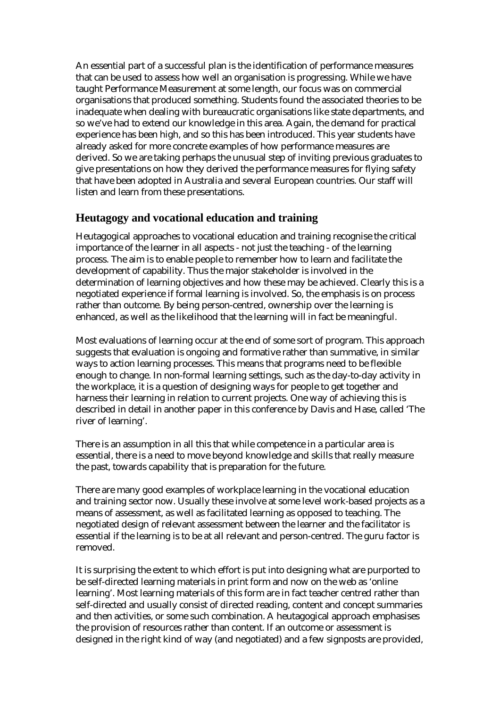An essential part of a successful plan is the identification of performance measures that can be used to assess how well an organisation is progressing. While we have taught Performance Measurement at some length, our focus was on commercial organisations that produced something. Students found the associated theories to be inadequate when dealing with bureaucratic organisations like state departments, and so we've had to extend our knowledge in this area. Again, the demand for practical experience has been high, and so this has been introduced. This year students have already asked for more concrete examples of how performance measures are derived. So we are taking perhaps the unusual step of inviting previous graduates to give presentations on how they derived the performance measures for flying safety that have been adopted in Australia and several European countries. Our staff will listen and learn from these presentations.

#### **Heutagogy and vocational education and training**

Heutagogical approaches to vocational education and training recognise the critical importance of the learner in all aspects - not just the teaching - of the learning process. The aim is to enable people to remember how to learn and facilitate the development of capability. Thus the major stakeholder is involved in the determination of learning objectives and how these may be achieved. Clearly this is a negotiated experience if formal learning is involved. So, the emphasis is on process rather than outcome. By being person-centred, ownership over the learning is enhanced, as well as the likelihood that the learning will in fact be meaningful.

Most evaluations of learning occur at the end of some sort of program. This approach suggests that evaluation is ongoing and formative rather than summative, in similar ways to action learning processes. This means that programs need to be flexible enough to change. In non-formal learning settings, such as the day-to-day activity in the workplace, it is a question of designing ways for people to get together and harness their learning in relation to current projects. One way of achieving this is described in detail in another paper in this conference by Davis and Hase, called 'The river of learning'.

There is an assumption in all this that while competence in a particular area is essential, there is a need to move beyond knowledge and skills that really measure the past, towards capability that is preparation for the future.

There are many good examples of workplace learning in the vocational education and training sector now. Usually these involve at some level work-based projects as a means of assessment, as well as facilitated learning as opposed to teaching. The negotiated design of relevant assessment between the learner and the facilitator is essential if the learning is to be at all relevant and person-centred. The guru factor is removed.

It is surprising the extent to which effort is put into designing what are purported to be self-directed learning materials in print form and now on the web as 'online learning'. Most learning materials of this form are in fact teacher centred rather than self-directed and usually consist of directed reading, content and concept summaries and then activities, or some such combination. A heutagogical approach emphasises the provision of resources rather than content. If an outcome or assessment is designed in the right kind of way (and negotiated) and a few signposts are provided,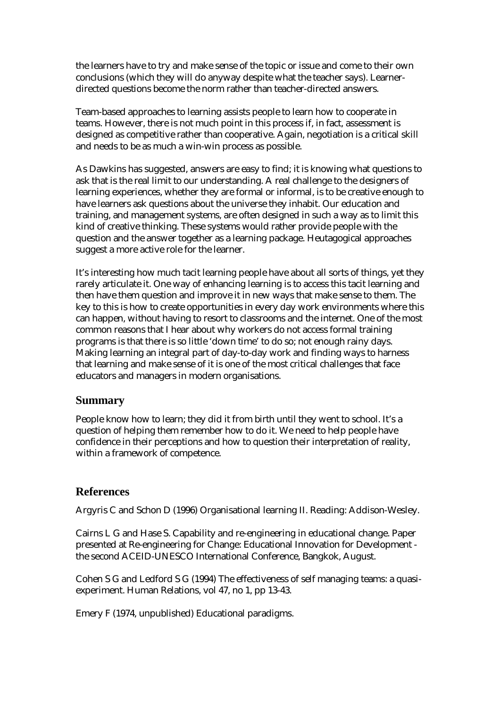the learners have to try and make sense of the topic or issue and come to their own conclusions (which they will do anyway despite what the teacher says). Learnerdirected questions become the norm rather than teacher-directed answers.

Team-based approaches to learning assists people to learn how to cooperate in teams. However, there is not much point in this process if, in fact, assessment is designed as competitive rather than cooperative. Again, negotiation is a critical skill and needs to be as much a win-win process as possible.

As Dawkins has suggested, answers are easy to find; it is knowing what questions to ask that is the real limit to our understanding. A real challenge to the designers of learning experiences, whether they are formal or informal, is to be creative enough to have learners ask questions about the universe they inhabit. Our education and training, and management systems, are often designed in such a way as to limit this kind of creative thinking. These systems would rather provide people with the question and the answer together as a learning package. Heutagogical approaches suggest a more active role for the learner.

It's interesting how much tacit learning people have about all sorts of things, yet they rarely articulate it. One way of enhancing learning is to access this tacit learning and then have them question and improve it in new ways that make sense to them. The key to this is how to create opportunities in every day work environments where this can happen, without having to resort to classrooms and the internet. One of the most common reasons that I hear about why workers do not access formal training programs is that there is so little 'down time' to do so; not enough rainy days. Making learning an integral part of day-to-day work and finding ways to harness that learning and make sense of it is one of the most critical challenges that face educators and managers in modern organisations.

## **Summary**

People know how to learn; they did it from birth until they went to school. It's a question of helping them remember how to do it. We need to help people have confidence in their perceptions and how to question their interpretation of reality, within a framework of competence.

## **References**

Argyris C and Schon D (1996) Organisational learning II. Reading: Addison-Wesley.

Cairns L G and Hase S. Capability and re-engineering in educational change. Paper presented at Re-engineering for Change: Educational Innovation for Development the second ACEID-UNESCO International Conference, Bangkok, August.

Cohen S G and Ledford S G (1994) The effectiveness of self managing teams: a quasiexperiment. Human Relations, vol 47, no 1, pp 13-43.

Emery F (1974, unpublished) Educational paradigms.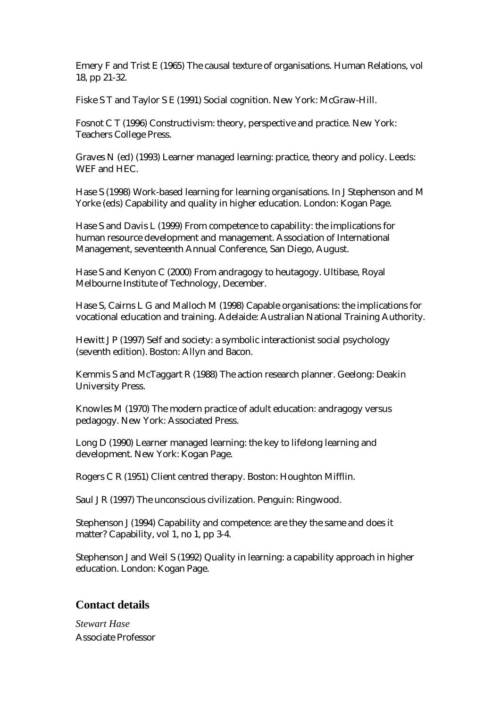Emery F and Trist E (1965) The causal texture of organisations. Human Relations, vol 18, pp 21-32.

Fiske S T and Taylor S E (1991) Social cognition. New York: McGraw-Hill.

Fosnot C T (1996) Constructivism: theory, perspective and practice. New York: Teachers College Press.

Graves N (ed) (1993) Learner managed learning: practice, theory and policy. Leeds: WEF and HEC.

Hase S (1998) Work-based learning for learning organisations. In J Stephenson and M Yorke (eds) Capability and quality in higher education. London: Kogan Page.

Hase S and Davis L (1999) From competence to capability: the implications for human resource development and management. Association of International Management, seventeenth Annual Conference, San Diego, August.

Hase S and Kenyon C (2000) From andragogy to heutagogy. Ultibase, Royal Melbourne Institute of Technology, December.

Hase S, Cairns L G and Malloch M (1998) Capable organisations: the implications for vocational education and training. Adelaide: Australian National Training Authority.

Hewitt J P (1997) Self and society: a symbolic interactionist social psychology (seventh edition). Boston: Allyn and Bacon.

Kemmis S and McTaggart R (1988) The action research planner. Geelong: Deakin University Press.

Knowles M (1970) The modern practice of adult education: andragogy versus pedagogy. New York: Associated Press.

Long D (1990) Learner managed learning: the key to lifelong learning and development. New York: Kogan Page.

Rogers C R (1951) Client centred therapy. Boston: Houghton Mifflin.

Saul J R (1997) The unconscious civilization. Penguin: Ringwood.

Stephenson J (1994) Capability and competence: are they the same and does it matter? Capability, vol 1, no 1, pp 3-4.

Stephenson J and Weil S (1992) Quality in learning: a capability approach in higher education. London: Kogan Page.

#### **Contact details**

*Stewart Hase*  Associate Professor